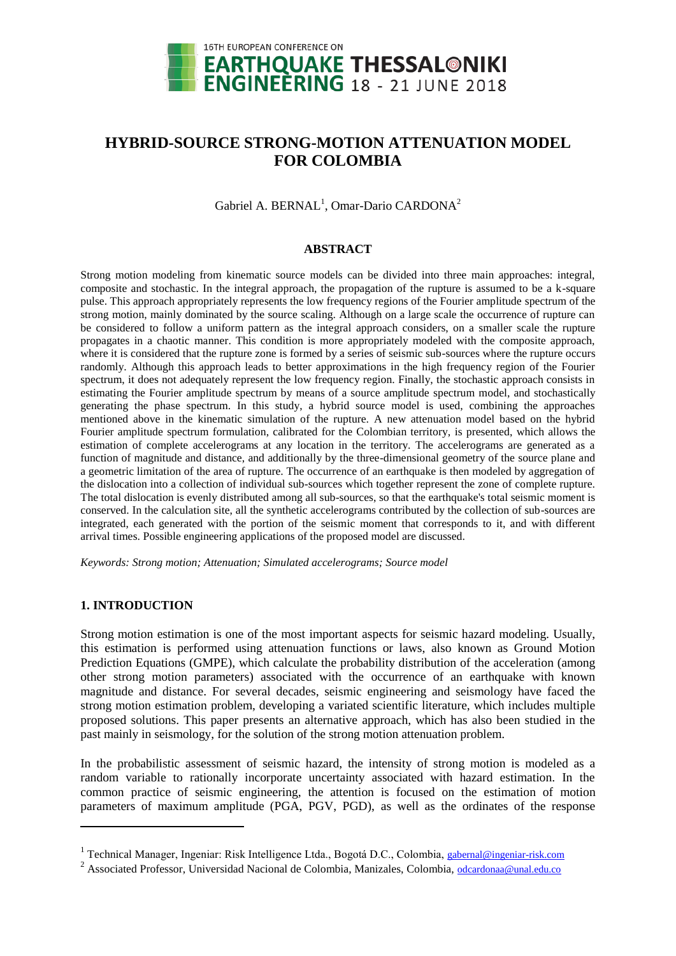

# **HYBRID-SOURCE STRONG-MOTION ATTENUATION MODEL FOR COLOMBIA**

Gabriel A. BERNAL<sup>1</sup>, Omar-Dario CARDONA<sup>2</sup>

#### **ABSTRACT**

Strong motion modeling from kinematic source models can be divided into three main approaches: integral, composite and stochastic. In the integral approach, the propagation of the rupture is assumed to be a k-square pulse. This approach appropriately represents the low frequency regions of the Fourier amplitude spectrum of the strong motion, mainly dominated by the source scaling. Although on a large scale the occurrence of rupture can be considered to follow a uniform pattern as the integral approach considers, on a smaller scale the rupture propagates in a chaotic manner. This condition is more appropriately modeled with the composite approach, where it is considered that the rupture zone is formed by a series of seismic sub-sources where the rupture occurs randomly. Although this approach leads to better approximations in the high frequency region of the Fourier spectrum, it does not adequately represent the low frequency region. Finally, the stochastic approach consists in estimating the Fourier amplitude spectrum by means of a source amplitude spectrum model, and stochastically generating the phase spectrum. In this study, a hybrid source model is used, combining the approaches mentioned above in the kinematic simulation of the rupture. A new attenuation model based on the hybrid Fourier amplitude spectrum formulation, calibrated for the Colombian territory, is presented, which allows the estimation of complete accelerograms at any location in the territory. The accelerograms are generated as a function of magnitude and distance, and additionally by the three-dimensional geometry of the source plane and a geometric limitation of the area of rupture. The occurrence of an earthquake is then modeled by aggregation of the dislocation into a collection of individual sub-sources which together represent the zone of complete rupture. The total dislocation is evenly distributed among all sub-sources, so that the earthquake's total seismic moment is conserved. In the calculation site, all the synthetic accelerograms contributed by the collection of sub-sources are integrated, each generated with the portion of the seismic moment that corresponds to it, and with different arrival times. Possible engineering applications of the proposed model are discussed.

*Keywords: Strong motion; Attenuation; Simulated accelerograms; Source model*

### **1. INTRODUCTION**

l

Strong motion estimation is one of the most important aspects for seismic hazard modeling. Usually, this estimation is performed using attenuation functions or laws, also known as Ground Motion Prediction Equations (GMPE), which calculate the probability distribution of the acceleration (among other strong motion parameters) associated with the occurrence of an earthquake with known magnitude and distance. For several decades, seismic engineering and seismology have faced the strong motion estimation problem, developing a variated scientific literature, which includes multiple proposed solutions. This paper presents an alternative approach, which has also been studied in the past mainly in seismology, for the solution of the strong motion attenuation problem.

In the probabilistic assessment of seismic hazard, the intensity of strong motion is modeled as a random variable to rationally incorporate uncertainty associated with hazard estimation. In the common practice of seismic engineering, the attention is focused on the estimation of motion parameters of maximum amplitude (PGA, PGV, PGD), as well as the ordinates of the response

<sup>&</sup>lt;sup>1</sup> Technical Manager, Ingeniar: Risk Intelligence Ltda., Bogotá D.C., Colombia, gabernal@ingeniar-risk.com

<sup>&</sup>lt;sup>2</sup> Associated Professor, Universidad Nacional de Colombia, Manizales, Colombia, [odcardonaa@unal.edu.co](mailto:odcardonaa@unal.edu.co)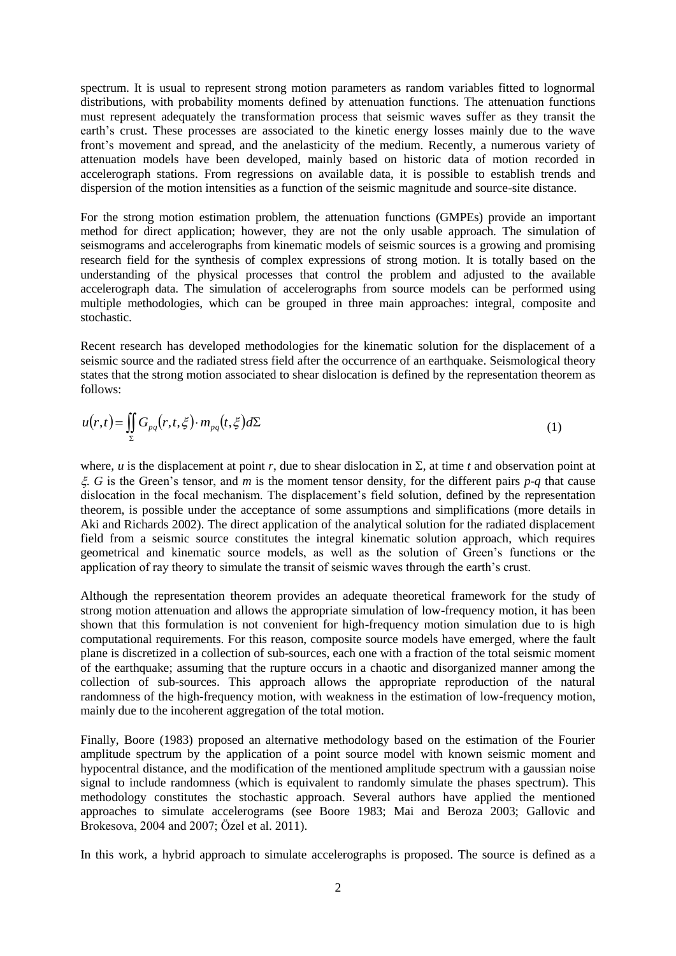spectrum. It is usual to represent strong motion parameters as random variables fitted to lognormal distributions, with probability moments defined by attenuation functions. The attenuation functions must represent adequately the transformation process that seismic waves suffer as they transit the earth's crust. These processes are associated to the kinetic energy losses mainly due to the wave front's movement and spread, and the anelasticity of the medium. Recently, a numerous variety of attenuation models have been developed, mainly based on historic data of motion recorded in accelerograph stations. From regressions on available data, it is possible to establish trends and dispersion of the motion intensities as a function of the seismic magnitude and source-site distance.

For the strong motion estimation problem, the attenuation functions (GMPEs) provide an important method for direct application; however, they are not the only usable approach. The simulation of seismograms and accelerographs from kinematic models of seismic sources is a growing and promising research field for the synthesis of complex expressions of strong motion. It is totally based on the understanding of the physical processes that control the problem and adjusted to the available accelerograph data. The simulation of accelerographs from source models can be performed using multiple methodologies, which can be grouped in three main approaches: integral, composite and stochastic.

Recent research has developed methodologies for the kinematic solution for the displacement of a seismic source and the radiated stress field after the occurrence of an earthquake. Seismological theory states that the strong motion associated to shear dislocation is defined by the representation theorem as follows:

$$
u(r,t) = \iint\limits_{\Sigma} G_{pq}(r,t,\xi) \cdot m_{pq}(t,\xi) d\Sigma
$$
 (1)

where, *u* is the displacement at point *r*, due to shear dislocation in  $\Sigma$ , at time *t* and observation point at  $\zeta$ . *G* is the Green's tensor, and *m* is the moment tensor density, for the different pairs  $p-q$  that cause dislocation in the focal mechanism. The displacement's field solution, defined by the representation theorem, is possible under the acceptance of some assumptions and simplifications (more details in Aki and Richards 2002). The direct application of the analytical solution for the radiated displacement field from a seismic source constitutes the integral kinematic solution approach, which requires geometrical and kinematic source models, as well as the solution of Green's functions or the application of ray theory to simulate the transit of seismic waves through the earth's crust.

Although the representation theorem provides an adequate theoretical framework for the study of strong motion attenuation and allows the appropriate simulation of low-frequency motion, it has been shown that this formulation is not convenient for high-frequency motion simulation due to is high computational requirements. For this reason, composite source models have emerged, where the fault plane is discretized in a collection of sub-sources, each one with a fraction of the total seismic moment of the earthquake; assuming that the rupture occurs in a chaotic and disorganized manner among the collection of sub-sources. This approach allows the appropriate reproduction of the natural randomness of the high-frequency motion, with weakness in the estimation of low-frequency motion, mainly due to the incoherent aggregation of the total motion.

Finally, Boore (1983) proposed an alternative methodology based on the estimation of the Fourier amplitude spectrum by the application of a point source model with known seismic moment and hypocentral distance, and the modification of the mentioned amplitude spectrum with a gaussian noise signal to include randomness (which is equivalent to randomly simulate the phases spectrum). This methodology constitutes the stochastic approach. Several authors have applied the mentioned approaches to simulate accelerograms (see Boore 1983; Mai and Beroza 2003; Gallovic and Brokesova, 2004 and 2007; Özel et al. 2011).

In this work, a hybrid approach to simulate accelerographs is proposed. The source is defined as a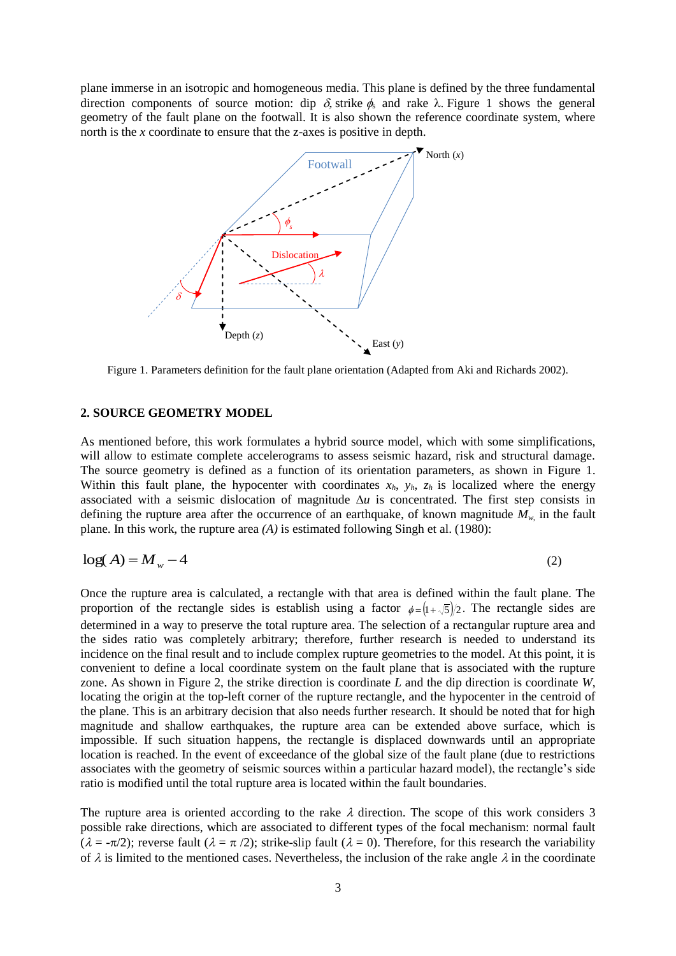plane immerse in an isotropic and homogeneous media. This plane is defined by the three fundamental direction components of source motion: dip  $\delta$ , strike  $\phi_s$  and rake  $\lambda$ . Figure 1 shows the general geometry of the fault plane on the footwall. It is also shown the reference coordinate system, where north is the *x* coordinate to ensure that the z-axes is positive in depth.



Figure 1. Parameters definition for the fault plane orientation (Adapted from Aki and Richards 2002).

#### **2. SOURCE GEOMETRY MODEL**

As mentioned before, this work formulates a hybrid source model, which with some simplifications, will allow to estimate complete accelerograms to assess seismic hazard, risk and structural damage. The source geometry is defined as a function of its orientation parameters, as shown in Figure 1. Within this fault plane, the hypocenter with coordinates  $x_h$ ,  $y_h$ ,  $z_h$  is localized where the energy associated with a seismic dislocation of magnitude  $\Delta u$  is concentrated. The first step consists in defining the rupture area after the occurrence of an earthquake, of known magnitude *Mw,* in the fault plane. In this work, the rupture area *(A)* is estimated following Singh et al. (1980):

$$
\log(A) = M_w - 4 \tag{2}
$$

Once the rupture area is calculated, a rectangle with that area is defined within the fault plane. The proportion of the rectangle sides is establish using a factor  $\phi = (1 + \sqrt{5})/2$ . The rectangle sides are determined in a way to preserve the total rupture area. The selection of a rectangular rupture area and the sides ratio was completely arbitrary; therefore, further research is needed to understand its incidence on the final result and to include complex rupture geometries to the model. At this point, it is convenient to define a local coordinate system on the fault plane that is associated with the rupture zone. As shown in Figure 2, the strike direction is coordinate *L* and the dip direction is coordinate *W*, locating the origin at the top-left corner of the rupture rectangle, and the hypocenter in the centroid of the plane. This is an arbitrary decision that also needs further research. It should be noted that for high magnitude and shallow earthquakes, the rupture area can be extended above surface, which is impossible. If such situation happens, the rectangle is displaced downwards until an appropriate location is reached. In the event of exceedance of the global size of the fault plane (due to restrictions associates with the geometry of seismic sources within a particular hazard model), the rectangle's side ratio is modified until the total rupture area is located within the fault boundaries.

The rupture area is oriented according to the rake  $\lambda$  direction. The scope of this work considers 3 possible rake directions, which are associated to different types of the focal mechanism: normal fault  $(\lambda = -\pi/2)$ ; reverse fault  $(\lambda = \pi/2)$ ; strike-slip fault  $(\lambda = 0)$ . Therefore, for this research the variability of  $\lambda$  is limited to the mentioned cases. Nevertheless, the inclusion of the rake angle  $\lambda$  in the coordinate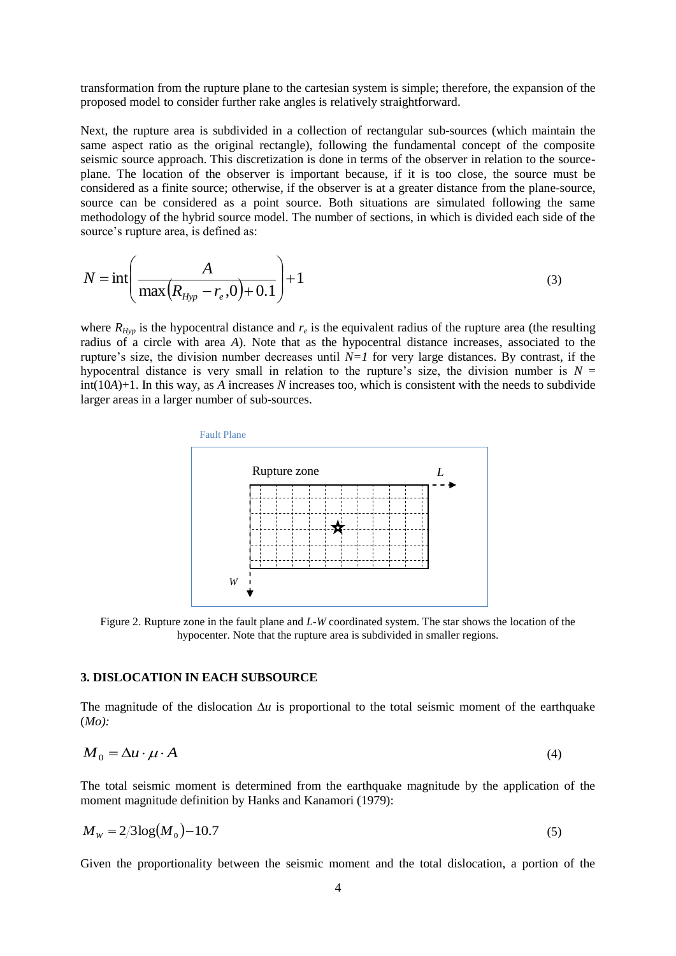transformation from the rupture plane to the cartesian system is simple; therefore, the expansion of the proposed model to consider further rake angles is relatively straightforward.

Next, the rupture area is subdivided in a collection of rectangular sub-sources (which maintain the same aspect ratio as the original rectangle), following the fundamental concept of the composite seismic source approach. This discretization is done in terms of the observer in relation to the sourceplane. The location of the observer is important because, if it is too close, the source must be considered as a finite source; otherwise, if the observer is at a greater distance from the plane-source, source can be considered as a point source. Both situations are simulated following the same methodology of the hybrid source model. The number of sections, in which is divided each side of the source's rupture area, is defined as:

$$
N = \text{int}\left(\frac{A}{\max(R_{Hyp} - r_e, 0) + 0.1}\right) + 1
$$
\n(3)

where  $R_{Hyp}$  is the hypocentral distance and  $r_e$  is the equivalent radius of the rupture area (the resulting radius of a circle with area *A*). Note that as the hypocentral distance increases, associated to the rupture's size, the division number decreases until  $N=1$  for very large distances. By contrast, if the hypocentral distance is very small in relation to the rupture's size, the division number is  $N =$ int(10*A*)+1. In this way, as *A* increases *N* increases too, which is consistent with the needs to subdivide larger areas in a larger number of sub-sources.



Figure 2. Rupture zone in the fault plane and *L-W* coordinated system. The star shows the location of the hypocenter. Note that the rupture area is subdivided in smaller regions.

#### **3. DISLOCATION IN EACH SUBSOURCE**

The magnitude of the dislocation  $\Delta u$  is proportional to the total seismic moment of the earthquake (*Mo):*

$$
M_0 = \Delta u \cdot \mu \cdot A \tag{4}
$$

The total seismic moment is determined from the earthquake magnitude by the application of the moment magnitude definition by Hanks and Kanamori (1979):

$$
M_{\rm w} = 2/3 \log(M_0) - 10.7\tag{5}
$$

Given the proportionality between the seismic moment and the total dislocation, a portion of the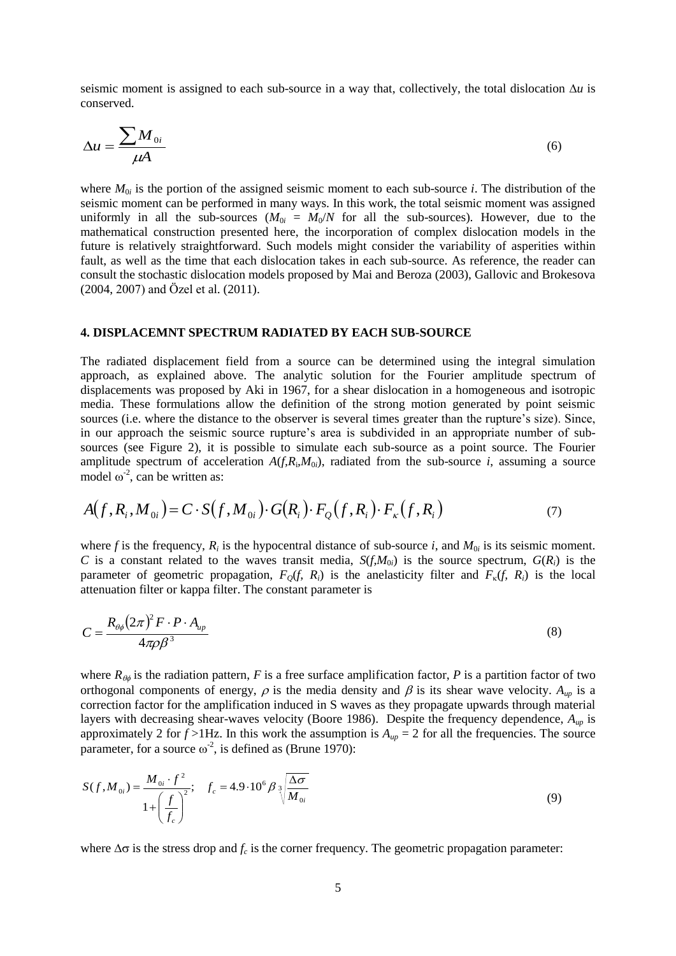seismic moment is assigned to each sub-source in a way that, collectively, the total dislocation  $\Delta u$  is conserved.

$$
\Delta u = \frac{\sum M_{0i}}{\mu A} \tag{6}
$$

where  $M_{0i}$  is the portion of the assigned seismic moment to each sub-source *i*. The distribution of the seismic moment can be performed in many ways. In this work, the total seismic moment was assigned uniformly in all the sub-sources  $(M_{0i} = M_0/N)$  for all the sub-sources). However, due to the mathematical construction presented here, the incorporation of complex dislocation models in the future is relatively straightforward. Such models might consider the variability of asperities within fault, as well as the time that each dislocation takes in each sub-source. As reference, the reader can consult the stochastic dislocation models proposed by Mai and Beroza (2003), Gallovic and Brokesova (2004, 2007) and Özel et al. (2011).

#### **4. DISPLACEMNT SPECTRUM RADIATED BY EACH SUB-SOURCE**

The radiated displacement field from a source can be determined using the integral simulation approach, as explained above. The analytic solution for the Fourier amplitude spectrum of displacements was proposed by Aki in 1967, for a shear dislocation in a homogeneous and isotropic media. These formulations allow the definition of the strong motion generated by point seismic sources (i.e. where the distance to the observer is several times greater than the rupture's size). Since, in our approach the seismic source rupture's area is subdivided in an appropriate number of subsources (see Figure 2), it is possible to simulate each sub-source as a point source. The Fourier amplitude spectrum of acceleration  $A(f, R_i, M_{0i})$ , radiated from the sub-source *i*, assuming a source model  $\omega^2$ , can be written as:

$$
A(f, R_i, M_{0i}) = C \cdot S(f, M_{0i}) \cdot G(R_i) \cdot F_Q(f, R_i) \cdot F_{\kappa}(f, R_i)
$$
\n<sup>(7)</sup>

where f is the frequency,  $R_i$  is the hypocentral distance of sub-source *i*, and  $M_{0i}$  is its seismic moment. *C* is a constant related to the waves transit media,  $S(f, M_{0i})$  is the source spectrum,  $G(R_i)$  is the parameter of geometric propagation,  $F<sub>O</sub>(f, R<sub>i</sub>)$  is the anelasticity filter and  $F<sub>K</sub>(f, R<sub>i</sub>)$  is the local attenuation filter or kappa filter. The constant parameter is

$$
C = \frac{R_{\theta\phi}(2\pi)^2 F \cdot P \cdot A_{\mu p}}{4\pi \rho \beta^3} \tag{8}
$$

where  $R_{\theta\phi}$  is the radiation pattern, *F* is a free surface amplification factor, *P* is a partition factor of two orthogonal components of energy,  $\rho$  is the media density and  $\beta$  is its shear wave velocity.  $A_{\mu\nu}$  is a correction factor for the amplification induced in S waves as they propagate upwards through material layers with decreasing shear-waves velocity (Boore 1986). Despite the frequency dependence, *Aup* is approximately 2 for  $f > 1$ Hz. In this work the assumption is  $A_{up} = 2$  for all the frequencies. The source parameter, for a source  $\omega^2$ , is defined as (Brune 1970):

$$
S(f, M_{0i}) = \frac{M_{0i} \cdot f^2}{1 + \left(\frac{f}{f_c}\right)^2}; \quad f_c = 4.9 \cdot 10^6 \beta \sqrt[3]{\frac{\Delta \sigma}{M_{0i}}}
$$
(9)

where  $\Delta \sigma$  is the stress drop and  $f_c$  is the corner frequency. The geometric propagation parameter: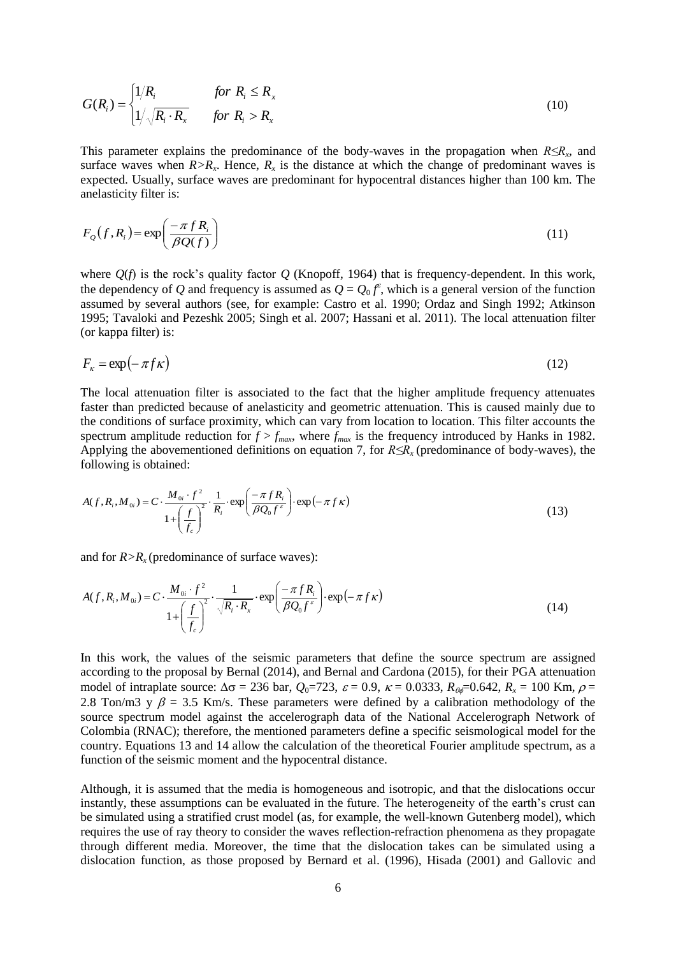$$
G(R_i) = \begin{cases} 1/R_i & \text{for } R_i \le R_x \\ 1/\sqrt{R_i \cdot R_x} & \text{for } R_i > R_x \end{cases}
$$
 (10)

This parameter explains the predominance of the body-waves in the propagation when *R≤R<sup>x</sup>* , and surface waves when  $R > R<sub>x</sub>$ . Hence,  $R<sub>x</sub>$  is the distance at which the change of predominant waves is expected. Usually, surface waves are predominant for hypocentral distances higher than 100 km. The anelasticity filter is:

$$
F_Q(f, R_i) = \exp\left(\frac{-\pi f R_i}{\beta Q(f)}\right) \tag{11}
$$

where *Q*(*f*) is the rock's quality factor *Q* (Knopoff, 1964) that is frequency-dependent. In this work, the dependency of *Q* and frequency is assumed as  $Q = Q_0 f^{\epsilon}$ , which is a general version of the function assumed by several authors (see, for example: Castro et al. 1990; Ordaz and Singh 1992; Atkinson 1995; Tavaloki and Pezeshk 2005; Singh et al. 2007; Hassani et al. 2011). The local attenuation filter (or kappa filter) is:

$$
F_{\kappa} = \exp(-\pi f \kappa) \tag{12}
$$

The local attenuation filter is associated to the fact that the higher amplitude frequency attenuates faster than predicted because of anelasticity and geometric attenuation. This is caused mainly due to the conditions of surface proximity, which can vary from location to location. This filter accounts the spectrum amplitude reduction for  $f > f_{max}$ , where  $f_{max}$  is the frequency introduced by Hanks in 1982. Applying the abovementioned definitions on equation 7, for *R≤Rx* (predominance of body-waves), the following is obtained:

$$
A(f, R_i, M_{0i}) = C \cdot \frac{M_{0i} \cdot f^2}{1 + \left(\frac{f}{f_c}\right)^2} \cdot \frac{1}{R_i} \cdot \exp\left(\frac{-\pi f R_i}{\beta Q_0 f^c}\right) \cdot \exp\left(-\pi f \kappa\right)
$$
\n(13)

and for  $R > R<sub>x</sub>$  (predominance of surface waves):

$$
A(f, R_i, M_{0i}) = C \cdot \frac{M_{0i} \cdot f^2}{1 + \left(\frac{f}{f_c}\right)^2} \cdot \frac{1}{\sqrt{R_i \cdot R_x}} \cdot \exp\left(\frac{-\pi f R_i}{\beta Q_0 f^{\varepsilon}}\right) \cdot \exp(-\pi f \kappa)
$$
\n(14)

In this work, the values of the seismic parameters that define the source spectrum are assigned according to the proposal by Bernal (2014), and Bernal and Cardona (2015), for their PGA attenuation model of intraplate source:  $\Delta \sigma = 236$  bar,  $Q_0 = 723$ ,  $\varepsilon = 0.9$ ,  $\kappa = 0.0333$ ,  $R_{\theta} = 0.642$ ,  $R_x = 100$  Km,  $\rho =$ 2.8 Ton/m3 y  $\beta$  = 3.5 Km/s. These parameters were defined by a calibration methodology of the source spectrum model against the accelerograph data of the National Accelerograph Network of Colombia (RNAC); therefore, the mentioned parameters define a specific seismological model for the country. Equations 13 and 14 allow the calculation of the theoretical Fourier amplitude spectrum, as a function of the seismic moment and the hypocentral distance.

Although, it is assumed that the media is homogeneous and isotropic, and that the dislocations occur instantly, these assumptions can be evaluated in the future. The heterogeneity of the earth's crust can be simulated using a stratified crust model (as, for example, the well-known Gutenberg model), which requires the use of ray theory to consider the waves reflection-refraction phenomena as they propagate through different media. Moreover, the time that the dislocation takes can be simulated using a dislocation function, as those proposed by Bernard et al. (1996), Hisada (2001) and Gallovic and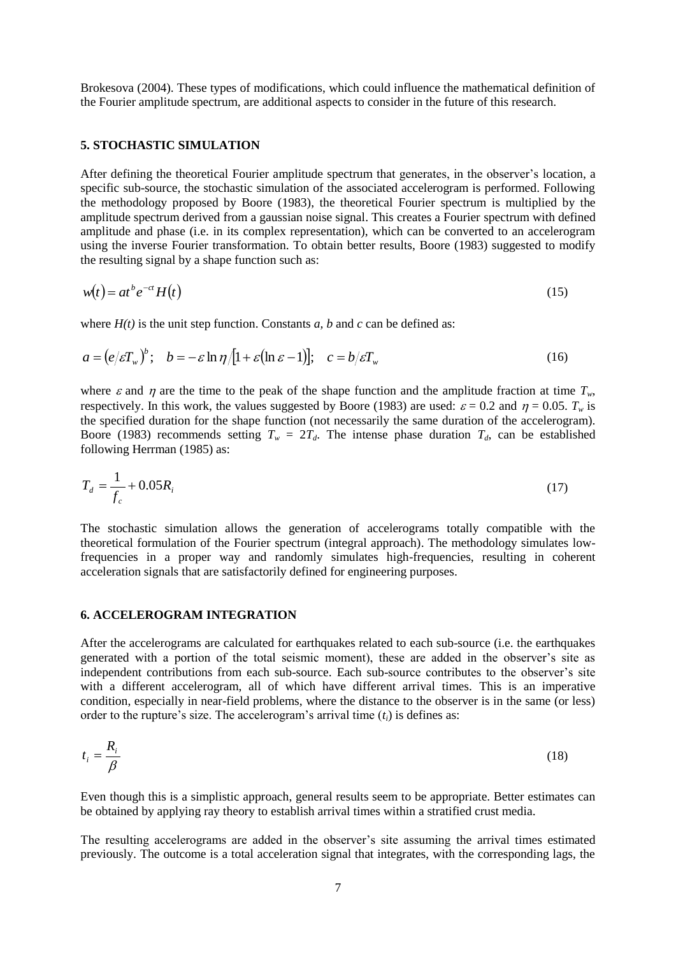Brokesova (2004). These types of modifications, which could influence the mathematical definition of the Fourier amplitude spectrum, are additional aspects to consider in the future of this research.

## **5. STOCHASTIC SIMULATION**

After defining the theoretical Fourier amplitude spectrum that generates, in the observer's location, a specific sub-source, the stochastic simulation of the associated accelerogram is performed. Following the methodology proposed by Boore (1983), the theoretical Fourier spectrum is multiplied by the amplitude spectrum derived from a gaussian noise signal. This creates a Fourier spectrum with defined amplitude and phase (i.e. in its complex representation), which can be converted to an accelerogram using the inverse Fourier transformation. To obtain better results, Boore (1983) suggested to modify the resulting signal by a shape function such as:

$$
w(t) = at^b e^{-ct} H(t)
$$
\n<sup>(15)</sup>

where  $H(t)$  is the unit step function. Constants *a*, *b* and *c* can be defined as:

$$
a = (e/\varepsilon T_w)^b; \quad b = -\varepsilon \ln \eta/[1 + \varepsilon(\ln \varepsilon - 1)]; \quad c = b/\varepsilon T_w \tag{16}
$$

where  $\varepsilon$  and  $\eta$  are the time to the peak of the shape function and the amplitude fraction at time  $T_w$ , respectively. In this work, the values suggested by Boore (1983) are used:  $\varepsilon = 0.2$  and  $\eta = 0.05$ .  $T_w$  is the specified duration for the shape function (not necessarily the same duration of the accelerogram). Boore (1983) recommends setting  $T_w = 2T_d$ . The intense phase duration  $T_d$ , can be established following Herrman (1985) as:

$$
T_d = \frac{1}{f_c} + 0.05R_i
$$
 (17)

The stochastic simulation allows the generation of accelerograms totally compatible with the theoretical formulation of the Fourier spectrum (integral approach). The methodology simulates lowfrequencies in a proper way and randomly simulates high-frequencies, resulting in coherent acceleration signals that are satisfactorily defined for engineering purposes.

### **6. ACCELEROGRAM INTEGRATION**

After the accelerograms are calculated for earthquakes related to each sub-source (i.e. the earthquakes generated with a portion of the total seismic moment), these are added in the observer's site as independent contributions from each sub-source. Each sub-source contributes to the observer's site with a different accelerogram, all of which have different arrival times. This is an imperative condition, especially in near-field problems, where the distance to the observer is in the same (or less) order to the rupture's size. The accelerogram's arrival time (*ti*) is defines as:

$$
t_i = \frac{R_i}{\beta} \tag{18}
$$

Even though this is a simplistic approach, general results seem to be appropriate. Better estimates can be obtained by applying ray theory to establish arrival times within a stratified crust media.

The resulting accelerograms are added in the observer's site assuming the arrival times estimated previously. The outcome is a total acceleration signal that integrates, with the corresponding lags, the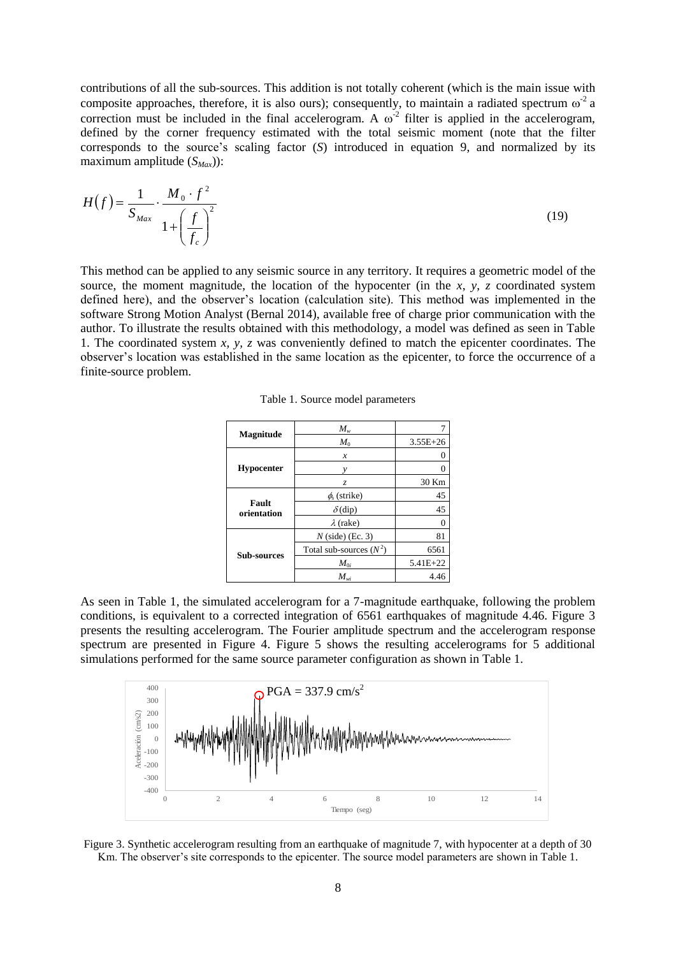contributions of all the sub-sources. This addition is not totally coherent (which is the main issue with composite approaches, therefore, it is also ours); consequently, to maintain a radiated spectrum  $\omega^2$  a correction must be included in the final accelerogram. A  $\omega^2$  filter is applied in the accelerogram, defined by the corner frequency estimated with the total seismic moment (note that the filter corresponds to the source's scaling factor (*S*) introduced in equation 9, and normalized by its maximum amplitude (*SMax*)):

$$
H(f) = \frac{1}{S_{Max}} \cdot \frac{M_0 \cdot f^2}{1 + \left(\frac{f}{f_c}\right)^2}
$$
 (19)

This method can be applied to any seismic source in any territory. It requires a geometric model of the source, the moment magnitude, the location of the hypocenter (in the *x*, *y*, *z* coordinated system defined here), and the observer's location (calculation site). This method was implemented in the software Strong Motion Analyst (Bernal 2014), available free of charge prior communication with the author. To illustrate the results obtained with this methodology, a model was defined as seen in Table 1. The coordinated system *x, y, z* was conveniently defined to match the epicenter coordinates. The observer's location was established in the same location as the epicenter, to force the occurrence of a finite-source problem.

| <b>Magnitude</b>     | $M_{w}$                   |              |
|----------------------|---------------------------|--------------|
|                      | $M_0$                     | $3.55E + 26$ |
| <b>Hypocenter</b>    | x                         |              |
|                      | ν                         |              |
|                      | Z.                        | 30 Km        |
| Fault<br>orientation | $\phi_s$ (strike)         | 45           |
|                      | $\delta$ (dip)            | 45           |
|                      | $\lambda$ (rake)          |              |
| <b>Sub-sources</b>   | $N$ (side) (Ec. 3)        | 81           |
|                      | Total sub-sources $(N^2)$ | 6561         |
|                      | $M_{0i}$                  | $5.41E + 22$ |
|                      | $M_{wi}$                  | 4.46         |

Table 1. Source model parameters

As seen in Table 1, the simulated accelerogram for a 7-magnitude earthquake, following the problem conditions, is equivalent to a corrected integration of 6561 earthquakes of magnitude 4.46. Figure 3 presents the resulting accelerogram. The Fourier amplitude spectrum and the accelerogram response spectrum are presented in Figure 4. Figure 5 shows the resulting accelerograms for 5 additional simulations performed for the same source parameter configuration as shown in Table 1.



Figure 3. Synthetic accelerogram resulting from an earthquake of magnitude 7, with hypocenter at a depth of 30 Km. The observer's site corresponds to the epicenter. The source model parameters are shown in Table 1.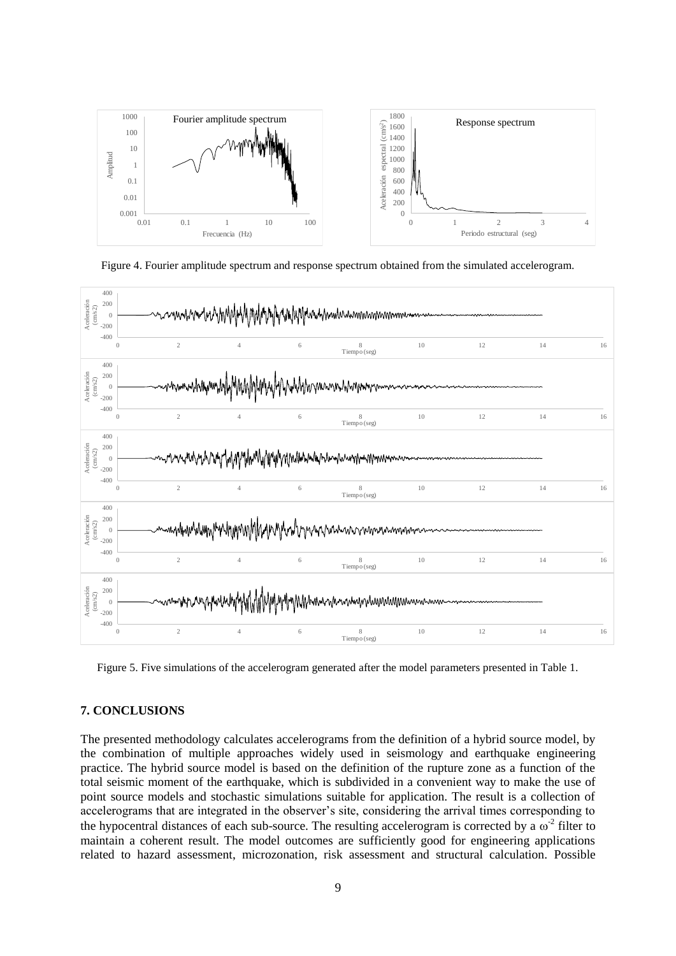

Figure 4. Fourier amplitude spectrum and response spectrum obtained from the simulated accelerogram.



Figure 5. Five simulations of the accelerogram generated after the model parameters presented in Table 1.

### **7. CONCLUSIONS**

The presented methodology calculates accelerograms from the definition of a hybrid source model, by the combination of multiple approaches widely used in seismology and earthquake engineering practice. The hybrid source model is based on the definition of the rupture zone as a function of the total seismic moment of the earthquake, which is subdivided in a convenient way to make the use of point source models and stochastic simulations suitable for application. The result is a collection of accelerograms that are integrated in the observer's site, considering the arrival times corresponding to the hypocentral distances of each sub-source. The resulting accelerogram is corrected by a  $\omega^2$  filter to maintain a coherent result. The model outcomes are sufficiently good for engineering applications related to hazard assessment, microzonation, risk assessment and structural calculation. Possible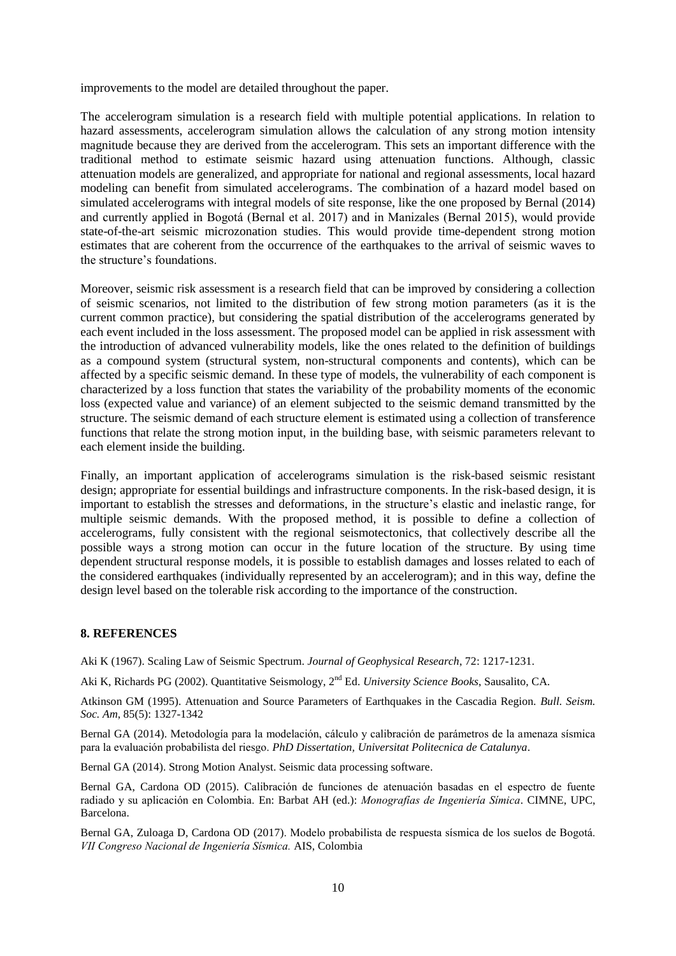improvements to the model are detailed throughout the paper.

The accelerogram simulation is a research field with multiple potential applications. In relation to hazard assessments, accelerogram simulation allows the calculation of any strong motion intensity magnitude because they are derived from the accelerogram. This sets an important difference with the traditional method to estimate seismic hazard using attenuation functions. Although, classic attenuation models are generalized, and appropriate for national and regional assessments, local hazard modeling can benefit from simulated accelerograms. The combination of a hazard model based on simulated accelerograms with integral models of site response, like the one proposed by Bernal (2014) and currently applied in Bogotá (Bernal et al. 2017) and in Manizales (Bernal 2015), would provide state-of-the-art seismic microzonation studies. This would provide time-dependent strong motion estimates that are coherent from the occurrence of the earthquakes to the arrival of seismic waves to the structure's foundations.

Moreover, seismic risk assessment is a research field that can be improved by considering a collection of seismic scenarios, not limited to the distribution of few strong motion parameters (as it is the current common practice), but considering the spatial distribution of the accelerograms generated by each event included in the loss assessment. The proposed model can be applied in risk assessment with the introduction of advanced vulnerability models, like the ones related to the definition of buildings as a compound system (structural system, non-structural components and contents), which can be affected by a specific seismic demand. In these type of models, the vulnerability of each component is characterized by a loss function that states the variability of the probability moments of the economic loss (expected value and variance) of an element subjected to the seismic demand transmitted by the structure. The seismic demand of each structure element is estimated using a collection of transference functions that relate the strong motion input, in the building base, with seismic parameters relevant to each element inside the building.

Finally, an important application of accelerograms simulation is the risk-based seismic resistant design; appropriate for essential buildings and infrastructure components. In the risk-based design, it is important to establish the stresses and deformations, in the structure's elastic and inelastic range, for multiple seismic demands. With the proposed method, it is possible to define a collection of accelerograms, fully consistent with the regional seismotectonics, that collectively describe all the possible ways a strong motion can occur in the future location of the structure. By using time dependent structural response models, it is possible to establish damages and losses related to each of the considered earthquakes (individually represented by an accelerogram); and in this way, define the design level based on the tolerable risk according to the importance of the construction.

## **8. REFERENCES**

Aki K (1967). Scaling Law of Seismic Spectrum. *Journal of Geophysical Research*, 72: 1217-1231.

Aki K, Richards PG (2002). Quantitative Seismology, 2<sup>nd</sup> Ed. *University Science Books*, Sausalito, CA.

Atkinson GM (1995). Attenuation and Source Parameters of Earthquakes in the Cascadia Region. *Bull. Seism. Soc. Am*, 85(5): 1327-1342

Bernal GA (2014). Metodología para la modelación, cálculo y calibración de parámetros de la amenaza sísmica para la evaluación probabilista del riesgo. *PhD Dissertation, Universitat Politecnica de Catalunya*.

Bernal GA (2014). Strong Motion Analyst. Seismic data processing software.

Bernal GA, Cardona OD (2015). Calibración de funciones de atenuación basadas en el espectro de fuente radiado y su aplicación en Colombia. En: Barbat AH (ed.): *Monografías de Ingeniería Símica*. CIMNE, UPC, Barcelona.

Bernal GA, Zuloaga D, Cardona OD (2017). Modelo probabilista de respuesta sísmica de los suelos de Bogotá. *VII Congreso Nacional de Ingeniería Sísmica.* AIS, Colombia